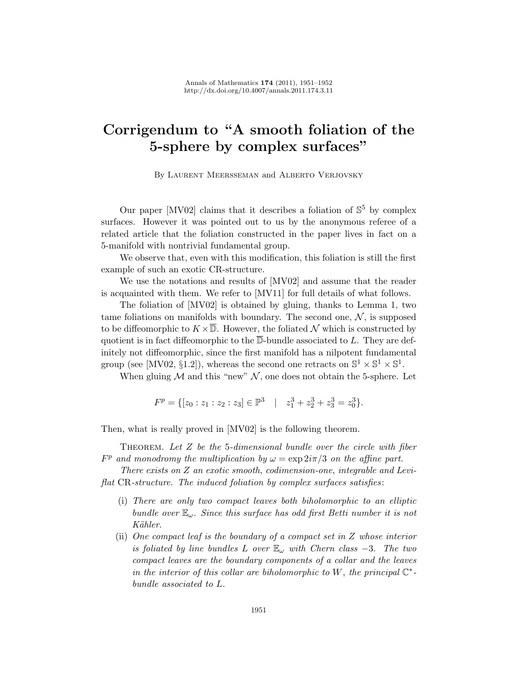## Corrigendum to "A smooth foliation of the 5-sphere by complex surfaces"

By Laurent Meersseman and Alberto Verjovsky

Our paper [\[MV02\]](#page-1-0) claims that it describes a foliation of  $\mathbb{S}^5$  by complex surfaces. However it was pointed out to us by the anonymous referee of a related article that the foliation constructed in the paper lives in fact on a 5-manifold with nontrivial fundamental group.

We observe that, even with this modification, this foliation is still the first example of such an exotic CR-structure.

We use the notations and results of [\[MV02\]](#page-1-0) and assume that the reader is acquainted with them. We refer to [\[MV11\]](#page-1-1) for full details of what follows.

The foliation of [\[MV02\]](#page-1-0) is obtained by gluing, thanks to Lemma 1, two tame foliations on manifolds with boundary. The second one,  $\mathcal{N}$ , is supposed to be diffeomorphic to  $K \times \overline{\mathbb{D}}$ . However, the foliated N which is constructed by quotient is in fact diffeomorphic to the  $\overline{\mathbb{D}}$ -bundle associated to L. They are definitely not diffeomorphic, since the first manifold has a nilpotent fundamental group (see [\[MV02,](#page-1-0) §1.2]), whereas the second one retracts on  $\mathbb{S}^1 \times \mathbb{S}^1 \times \mathbb{S}^1$ .

When gluing  $M$  and this "new"  $N$ , one does not obtain the 5-sphere. Let

$$
F^{p} = \{ [z_0 : z_1 : z_2 : z_3] \in \mathbb{P}^3 \mid z_1^3 + z_2^3 + z_3^3 = z_0^3 \}.
$$

Then, what is really proved in [\[MV02\]](#page-1-0) is the following theorem.

THEOREM. Let Z be the 5-dimensional bundle over the circle with fiber  $F<sup>p</sup>$  and monodromy the multiplication by  $\omega = \exp(2i\pi/3)$  on the affine part.

There exists on Z an exotic smooth, codimension-one, integrable and Leviflat CR-structure. The induced foliation by complex surfaces satisfies :

- (i) There are only two compact leaves both biholomorphic to an elliptic bundle over  $\mathbb{E}_{\omega}$ . Since this surface has odd first Betti number it is not Kähler.
- (ii) One compact leaf is the boundary of a compact set in Z whose interior is foliated by line bundles L over  $\mathbb{E}_{\omega}$  with Chern class -3. The two compact leaves are the boundary components of a collar and the leaves in the interior of this collar are biholomorphic to W, the principal  $\mathbb{C}^*$ bundle associated to L.